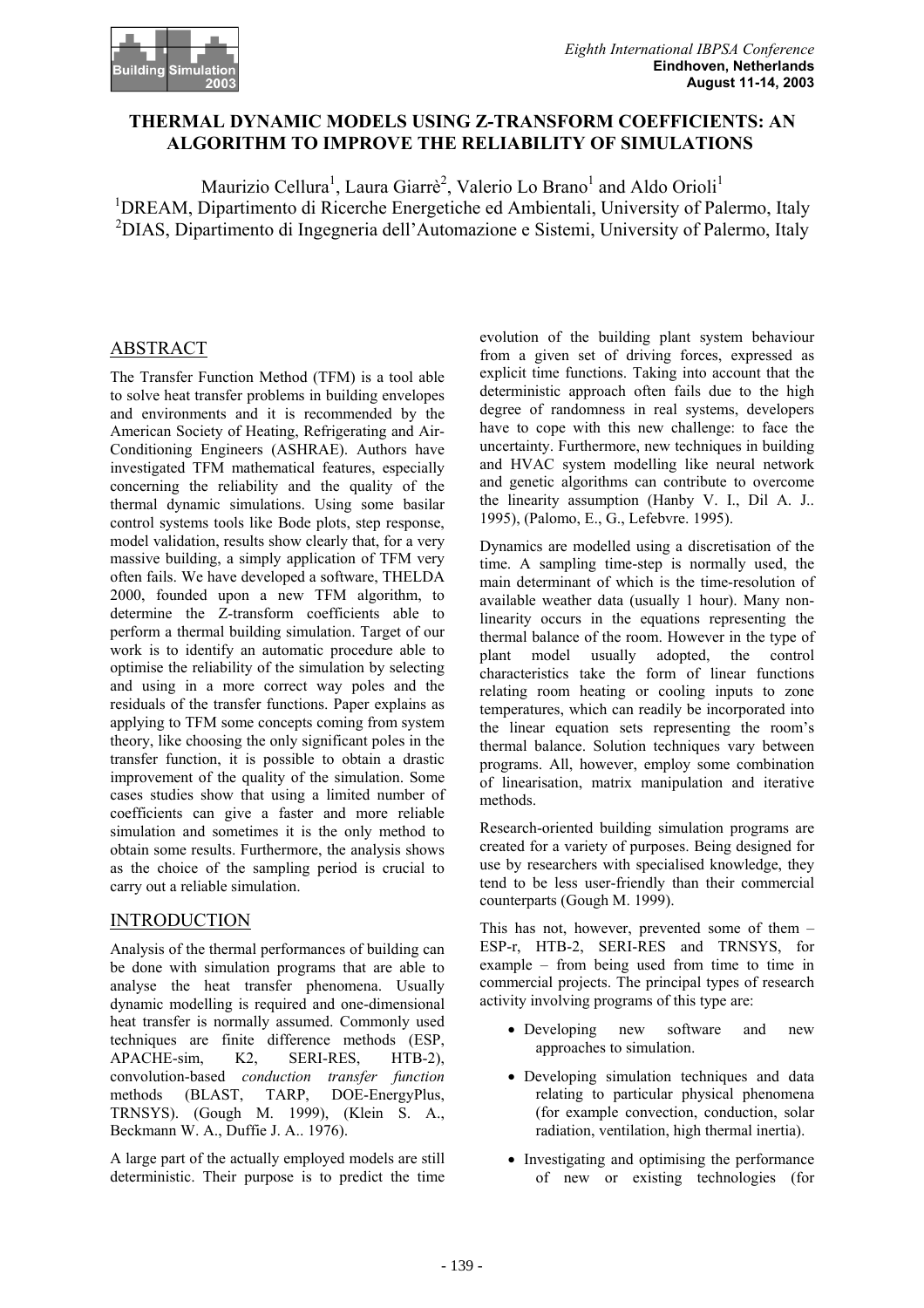

# **THERMAL DYNAMIC MODELS USING Z-TRANSFORM COEFFICIENTS: AN ALGORITHM TO IMPROVE THE RELIABILITY OF SIMULATIONS**

Maurizio Cellura<sup>1</sup>, Laura Giarrè<sup>2</sup>, Valerio Lo Brano<sup>1</sup> and Aldo Orioli<sup>1</sup> <sup>1</sup>DREAM, Dipartimento di Ricerche Energetiche ed Ambientali, University of Palermo, Italy 2 DIAS, Dipartimento di Ingegneria dell'Automazione e Sistemi, University of Palermo, Italy

# ABSTRACT

The Transfer Function Method (TFM) is a tool able to solve heat transfer problems in building envelopes and environments and it is recommended by the American Society of Heating, Refrigerating and Air-Conditioning Engineers (ASHRAE). Authors have investigated TFM mathematical features, especially concerning the reliability and the quality of the thermal dynamic simulations. Using some basilar control systems tools like Bode plots, step response, model validation, results show clearly that, for a very massive building, a simply application of TFM very often fails. We have developed a software, THELDA 2000, founded upon a new TFM algorithm, to determine the Z-transform coefficients able to perform a thermal building simulation. Target of our work is to identify an automatic procedure able to optimise the reliability of the simulation by selecting and using in a more correct way poles and the residuals of the transfer functions. Paper explains as applying to TFM some concepts coming from system theory, like choosing the only significant poles in the transfer function, it is possible to obtain a drastic improvement of the quality of the simulation. Some cases studies show that using a limited number of coefficients can give a faster and more reliable simulation and sometimes it is the only method to obtain some results. Furthermore, the analysis shows as the choice of the sampling period is crucial to carry out a reliable simulation.

# INTRODUCTION

Analysis of the thermal performances of building can be done with simulation programs that are able to analyse the heat transfer phenomena. Usually dynamic modelling is required and one-dimensional heat transfer is normally assumed. Commonly used techniques are finite difference methods (ESP, APACHE-sim, K2, SERI-RES, HTB-2), convolution-based *conduction transfer function*  methods (BLAST, TARP, DOE-EnergyPlus, TRNSYS). (Gough M. 1999), (Klein S. A., Beckmann W. A., Duffie J. A.. 1976).

A large part of the actually employed models are still deterministic. Their purpose is to predict the time evolution of the building plant system behaviour from a given set of driving forces, expressed as explicit time functions. Taking into account that the deterministic approach often fails due to the high degree of randomness in real systems, developers have to cope with this new challenge: to face the uncertainty. Furthermore, new techniques in building and HVAC system modelling like neural network and genetic algorithms can contribute to overcome the linearity assumption (Hanby V. I., Dil A. J.. 1995), (Palomo, E., G., Lefebvre. 1995).

Dynamics are modelled using a discretisation of the time. A sampling time-step is normally used, the main determinant of which is the time-resolution of available weather data (usually 1 hour). Many nonlinearity occurs in the equations representing the thermal balance of the room. However in the type of plant model usually adopted, the control characteristics take the form of linear functions relating room heating or cooling inputs to zone temperatures, which can readily be incorporated into the linear equation sets representing the room's thermal balance. Solution techniques vary between programs. All, however, employ some combination of linearisation, matrix manipulation and iterative methods.

Research-oriented building simulation programs are created for a variety of purposes. Being designed for use by researchers with specialised knowledge, they tend to be less user-friendly than their commercial counterparts (Gough M. 1999).

This has not, however, prevented some of them – ESP-r, HTB-2, SERI-RES and TRNSYS, for example – from being used from time to time in commercial projects. The principal types of research activity involving programs of this type are:

- Developing new software and new approaches to simulation.
- Developing simulation techniques and data relating to particular physical phenomena (for example convection, conduction, solar radiation, ventilation, high thermal inertia).
- Investigating and optimising the performance of new or existing technologies (for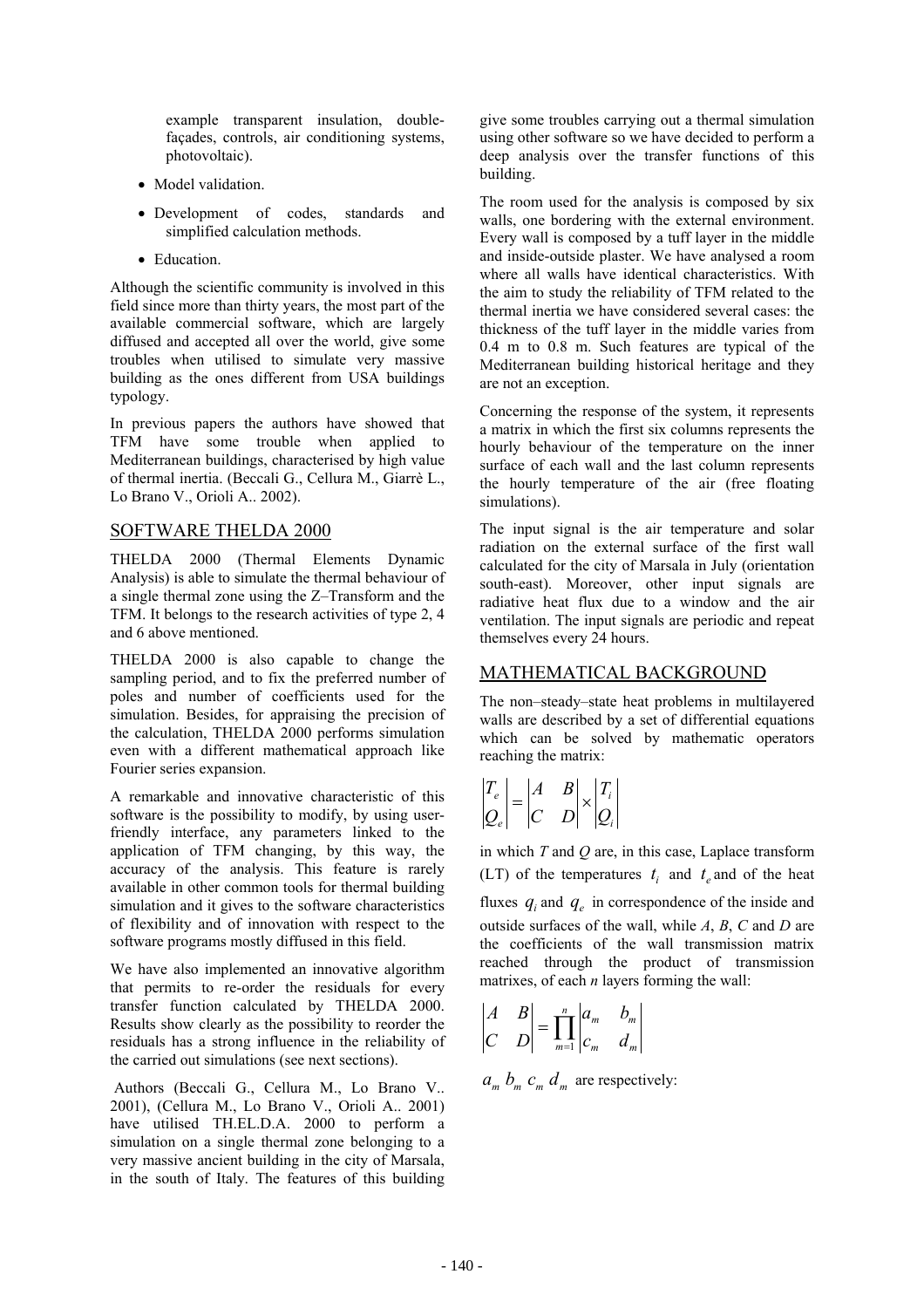example transparent insulation, doublefaçades, controls, air conditioning systems, photovoltaic).

- Model validation.
- Development of codes, standards and simplified calculation methods.
- Education.

Although the scientific community is involved in this field since more than thirty years, the most part of the available commercial software, which are largely diffused and accepted all over the world, give some troubles when utilised to simulate very massive building as the ones different from USA buildings typology.

In previous papers the authors have showed that TFM have some trouble when applied to Mediterranean buildings, characterised by high value of thermal inertia. (Beccali G., Cellura M., Giarrè L., Lo Brano V., Orioli A.. 2002).

## SOFTWARE THELDA 2000

THELDA 2000 (Thermal Elements Dynamic Analysis) is able to simulate the thermal behaviour of a single thermal zone using the Z–Transform and the TFM. It belongs to the research activities of type 2, 4 and 6 above mentioned.

THELDA 2000 is also capable to change the sampling period, and to fix the preferred number of poles and number of coefficients used for the simulation. Besides, for appraising the precision of the calculation, THELDA 2000 performs simulation even with a different mathematical approach like Fourier series expansion.

A remarkable and innovative characteristic of this software is the possibility to modify, by using userfriendly interface, any parameters linked to the application of TFM changing, by this way, the accuracy of the analysis. This feature is rarely available in other common tools for thermal building simulation and it gives to the software characteristics of flexibility and of innovation with respect to the software programs mostly diffused in this field.

We have also implemented an innovative algorithm that permits to re-order the residuals for every transfer function calculated by THELDA 2000. Results show clearly as the possibility to reorder the residuals has a strong influence in the reliability of the carried out simulations (see next sections).

 Authors (Beccali G., Cellura M., Lo Brano V.. 2001), (Cellura M., Lo Brano V., Orioli A.. 2001) have utilised TH.EL.D.A. 2000 to perform a simulation on a single thermal zone belonging to a very massive ancient building in the city of Marsala, in the south of Italy. The features of this building

give some troubles carrying out a thermal simulation using other software so we have decided to perform a deep analysis over the transfer functions of this building.

The room used for the analysis is composed by six walls, one bordering with the external environment. Every wall is composed by a tuff layer in the middle and inside-outside plaster. We have analysed a room where all walls have identical characteristics. With the aim to study the reliability of TFM related to the thermal inertia we have considered several cases: the thickness of the tuff layer in the middle varies from 0.4 m to 0.8 m. Such features are typical of the Mediterranean building historical heritage and they are not an exception.

Concerning the response of the system, it represents a matrix in which the first six columns represents the hourly behaviour of the temperature on the inner surface of each wall and the last column represents the hourly temperature of the air (free floating simulations).

The input signal is the air temperature and solar radiation on the external surface of the first wall calculated for the city of Marsala in July (orientation south-east). Moreover, other input signals are radiative heat flux due to a window and the air ventilation. The input signals are periodic and repeat themselves every 24 hours.

# MATHEMATICAL BACKGROUND

The non–steady–state heat problems in multilayered walls are described by a set of differential equations which can be solved by mathematic operators reaching the matrix:

$$
\begin{vmatrix} T_e \\ Q_e \end{vmatrix} = \begin{vmatrix} A & B \\ C & D \end{vmatrix} \times \begin{vmatrix} T_i \\ Q_i \end{vmatrix}
$$

in which *T* and *Q* are, in this case, Laplace transform (LT) of the temperatures  $t_i$  and  $t_e$  and of the heat fluxes  $q_i$  and  $q_e$  in correspondence of the inside and outside surfaces of the wall, while *A*, *B*, *C* and *D* are the coefficients of the wall transmission matrix reached through the product of transmission matrixes, of each *n* layers forming the wall:

$$
\begin{vmatrix} A & B \\ C & D \end{vmatrix} = \prod_{m=1}^{n} \begin{vmatrix} a_m & b_m \\ c_m & d_m \end{vmatrix}
$$

 $a_m$   $b_m$   $c_m$   $d_m$  are respectively: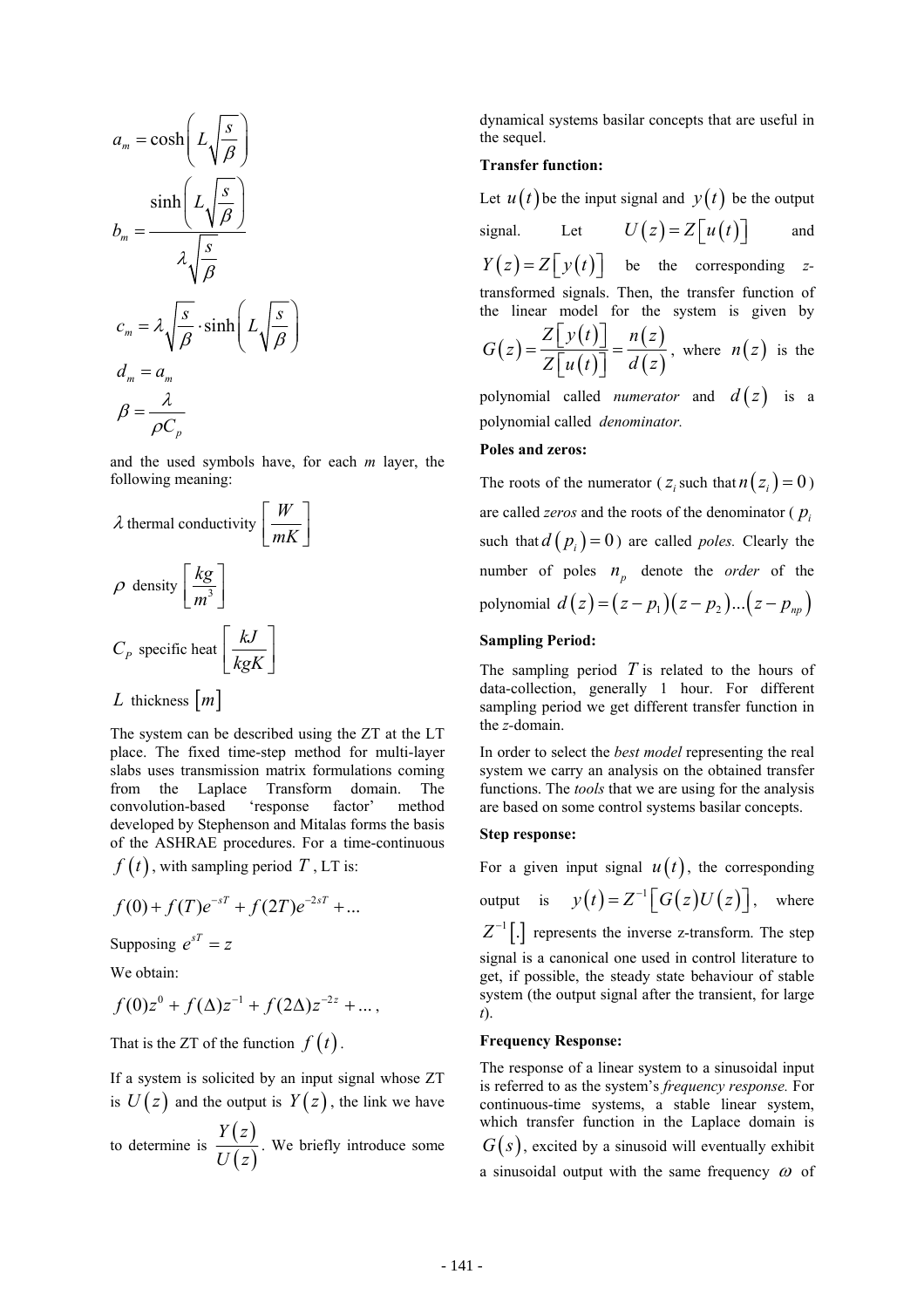$$
a_m = \cosh\left(L\sqrt{\frac{s}{\beta}}\right)
$$
  

$$
b_m = \frac{\sinh\left(L\sqrt{\frac{s}{\beta}}\right)}{\lambda\sqrt{\frac{s}{\beta}}}
$$
  

$$
c_m = \lambda\sqrt{\frac{s}{\beta}} \cdot \sinh\left(L\sqrt{\frac{s}{\beta}}\right)
$$
  

$$
d_m = a_m
$$
  

$$
\beta = \frac{\lambda}{\rho C_p}
$$

and the used symbols have, for each *m* layer, the following meaning:

$$
\lambda \text{ thermal conductivity} \left[ \frac{W}{mK} \right]
$$
\n
$$
\rho \text{ density} \left[ \frac{kg}{m^3} \right]
$$
\n
$$
C_p \text{ specific heat} \left[ \frac{kJ}{kgK} \right]
$$
\n
$$
L \text{ thickness } [m]
$$

The system can be described using the ZT at the LT place. The fixed time-step method for multi-layer slabs uses transmission matrix formulations coming from the Laplace Transform domain. The convolution-based 'response factor' method developed by Stephenson and Mitalas forms the basis of the ASHRAE procedures. For a time-continuous

 $f(t)$ , with sampling period T, LT is:

$$
f(0) + f(T)e^{-sT} + f(2T)e^{-2sT} + ...
$$

Supposing  $e^{sT} = z$ 

We obtain:

$$
f(0)z^{0} + f(\Delta)z^{-1} + f(2\Delta)z^{-2z} + ... ,
$$

That is the ZT of the function  $f(t)$ .

If a system is solicited by an input signal whose ZT is  $U(z)$  and the output is  $Y(z)$ , the link we have

to determine is  $\frac{Y(z)}{Z(z)}$  $(z)$ *Y z*  $\frac{U}{U(z)}$ . We briefly introduce some dynamical systems basilar concepts that are useful in the sequel.

### **Transfer function:**

Let  $u(t)$  be the input signal and  $y(t)$  be the output signal. Let  $U(z) = Z[u(t)]$  and  $Y(z) = Z[y(t)]$  be the corresponding *z*transformed signals. Then, the transfer function of the linear model for the system is given by  $(z) = \frac{Z[y(t)]}{z(t)}$  $(t)$  $(z)$  $(z)$  $Z[y(t)]$   $n(z)$ *G z*  $=\frac{Z[y(t)]}{Z[u(t)]} = \frac{n(z)}{d(z)}$ , where  $n(z)$  is the polynomial called *numerator* and  $d(z)$  is a

polynomial called *denominator.* 

#### **Poles and zeros:**

The roots of the numerator ( $z_i$  such that  $n(z_i) = 0$ ) are called *zeros* and the roots of the denominator ( *pi* such that  $d(p_i) = 0$  are called *poles*. Clearly the number of poles  $n_p$  denote the *order* of the polynomial  $d(z) = (z - p_1)(z - p_2)...(z - p_m)$ 

#### **Sampling Period:**

The sampling period *T* is related to the hours of data-collection, generally 1 hour. For different sampling period we get different transfer function in the *z-*domain.

In order to select the *best model* representing the real system we carry an analysis on the obtained transfer functions. The *tools* that we are using for the analysis are based on some control systems basilar concepts.

#### **Step response:**

For a given input signal  $u(t)$ , the corresponding output is  $y(t) = Z^{-1} \lceil G(z)U(z) \rceil$ , where  $Z^{-1}$ [.] represents the inverse z-transform. The step signal is a canonical one used in control literature to get, if possible, the steady state behaviour of stable system (the output signal after the transient, for large *t*).

#### **Frequency Response:**

The response of a linear system to a sinusoidal input is referred to as the system's *frequency response.* For continuous-time systems, a stable linear system, which transfer function in the Laplace domain is  $G(s)$ , excited by a sinusoid will eventually exhibit a sinusoidal output with the same frequency  $\omega$  of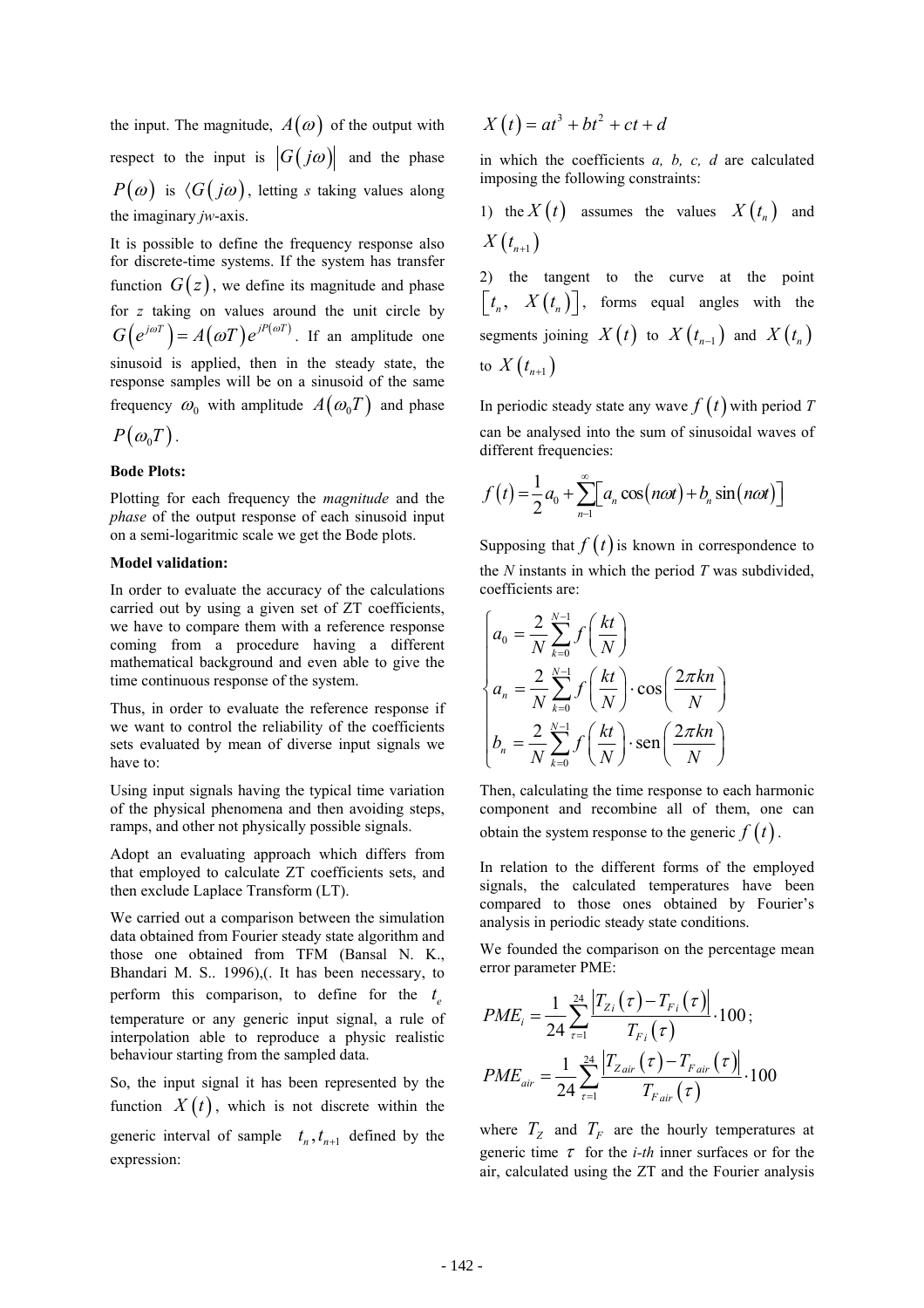the input. The magnitude,  $A(\omega)$  of the output with respect to the input is  $|G(j\omega)|$  and the phase  $P(\omega)$  is  $\langle G(j\omega), \text{ letting } s \text{ taking values along}$ the imaginary *jw*-axis.

It is possible to define the frequency response also for discrete-time systems. If the system has transfer function  $G(z)$ , we define its magnitude and phase for *z* taking on values around the unit circle by  $G(e^{j\omega T}) = A(\omega T)e^{jP(\omega T)}$ . If an amplitude one sinusoid is applied, then in the steady state, the response samples will be on a sinusoid of the same frequency  $\omega_0$  with amplitude  $A(\omega_0 T)$  and phase

$$
P(\omega_0 T).
$$

#### **Bode Plots:**

Plotting for each frequency the *magnitude* and the *phase* of the output response of each sinusoid input on a semi-logaritmic scale we get the Bode plots.

#### **Model validation:**

In order to evaluate the accuracy of the calculations carried out by using a given set of ZT coefficients, we have to compare them with a reference response coming from a procedure having a different mathematical background and even able to give the time continuous response of the system.

Thus, in order to evaluate the reference response if we want to control the reliability of the coefficients sets evaluated by mean of diverse input signals we have to:

Using input signals having the typical time variation of the physical phenomena and then avoiding steps, ramps, and other not physically possible signals.

Adopt an evaluating approach which differs from that employed to calculate ZT coefficients sets, and then exclude Laplace Transform (LT).

We carried out a comparison between the simulation data obtained from Fourier steady state algorithm and those one obtained from TFM (Bansal N. K., Bhandari M. S.. 1996),(. It has been necessary, to perform this comparison, to define for the  $t_e$ temperature or any generic input signal, a rule of interpolation able to reproduce a physic realistic behaviour starting from the sampled data.

So, the input signal it has been represented by the function  $X(t)$ , which is not discrete within the generic interval of sample  $t_n$ ,  $t_{n+1}$  defined by the expression:

$$
X(t) = at^3 + bt^2 + ct + d
$$

in which the coefficients *a, b, c, d* are calculated imposing the following constraints:

1) the  $X(t)$  assumes the values  $X(t_n)$  and  $X(t_{n+1})$ 

2) the tangent to the curve at the point  $\begin{bmatrix} t_n, & X(t_n) \end{bmatrix}$ , forms equal angles with the segments joining  $X(t)$  to  $X(t_{n-1})$  and  $X(t_n)$ to  $X(t_{n+1})$ 

In periodic steady state any wave  $f(t)$  with period T can be analysed into the sum of sinusoidal waves of different frequencies:

$$
f(t) = \frac{1}{2}a_0 + \sum_{n=1}^{\infty} \left[ a_n \cos(n\omega t) + b_n \sin(n\omega t) \right]
$$

Supposing that  $f(t)$  is known in correspondence to the *N* instants in which the period *T* was subdivided, coefficients are:

$$
\begin{cases}\na_0 = \frac{2}{N} \sum_{k=0}^{N-1} f\left(\frac{kt}{N}\right) \\
a_n = \frac{2}{N} \sum_{k=0}^{N-1} f\left(\frac{kt}{N}\right) \cdot \cos\left(\frac{2\pi kn}{N}\right) \\
b_n = \frac{2}{N} \sum_{k=0}^{N-1} f\left(\frac{kt}{N}\right) \cdot \text{sen}\left(\frac{2\pi kn}{N}\right)\n\end{cases}
$$

Then, calculating the time response to each harmonic component and recombine all of them, one can obtain the system response to the generic  $f(t)$ .

In relation to the different forms of the employed signals, the calculated temperatures have been compared to those ones obtained by Fourier's analysis in periodic steady state conditions.

We founded the comparison on the percentage mean error parameter PME:

$$
PME_{i} = \frac{1}{24} \sum_{\tau=1}^{24} \frac{\left| T_{Z_{i}}(\tau) - T_{F_{i}}(\tau) \right|}{T_{F_{i}}(\tau)} \cdot 100 \, ;
$$
\n
$$
PME_{air} = \frac{1}{24} \sum_{\tau=1}^{24} \frac{\left| T_{Zair}(\tau) - T_{Fair}(\tau) \right|}{T_{Fair}(\tau)} \cdot 100
$$

where  $T_z$  and  $T_F$  are the hourly temperatures at generic time  $\tau$  for the *i-th* inner surfaces or for the air, calculated using the ZT and the Fourier analysis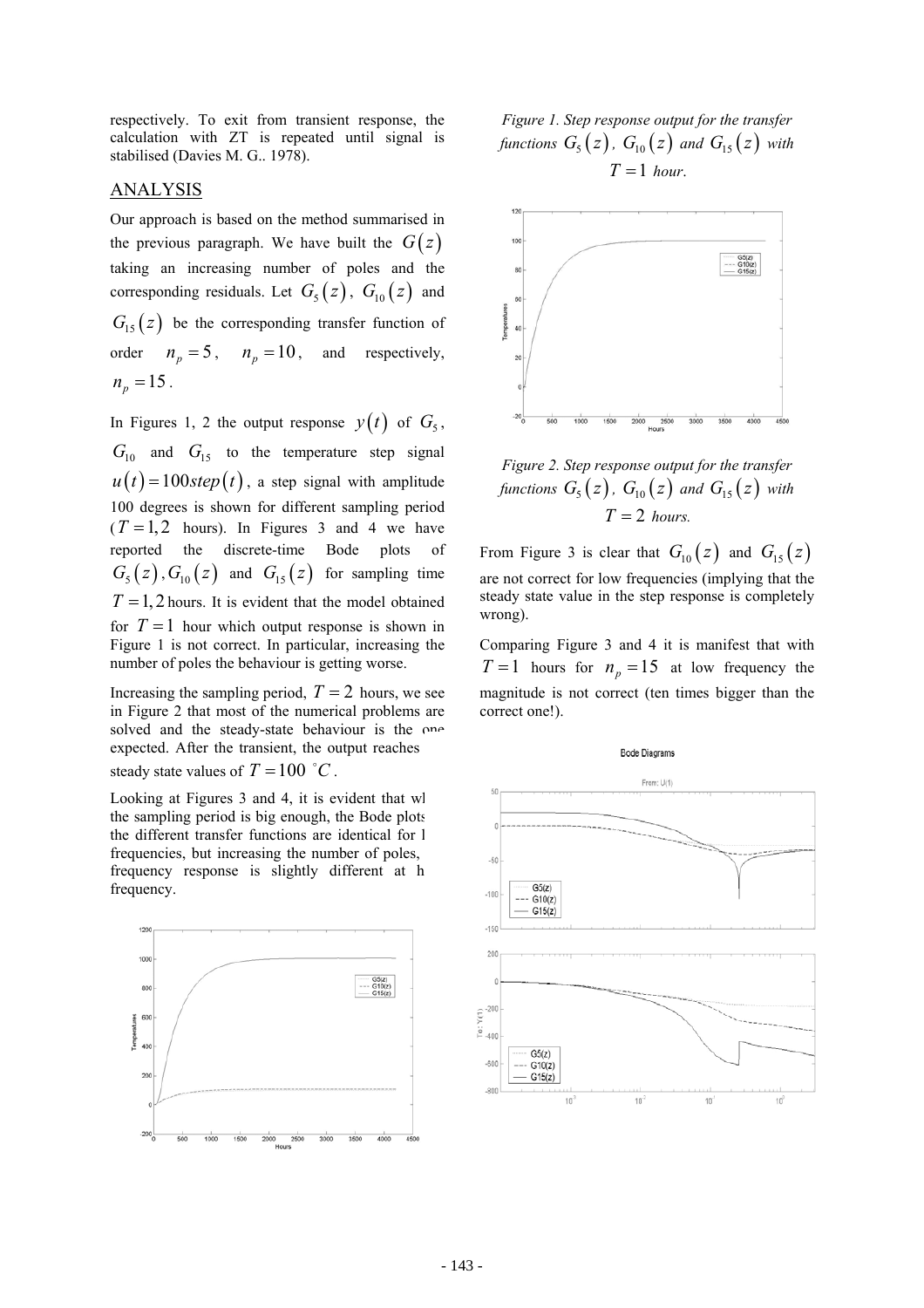respectively. To exit from transient response, the calculation with ZT is repeated until signal is stabilised (Davies M. G.. 1978).

## ANALYSIS

Our approach is based on the method summarised in the previous paragraph. We have built the  $G(z)$ taking an increasing number of poles and the corresponding residuals. Let  $G_5(z)$ ,  $G_{10}(z)$  and  $G<sub>15</sub>(z)$  be the corresponding transfer function of order  $n_p = 5$ ,  $n_p = 10$ , and respectively,  $n_p = 15$ .

In Figures 1, 2 the output response  $y(t)$  of  $G_5$ ,  $G<sub>10</sub>$  and  $G<sub>15</sub>$  to the temperature step signal  $u(t) = 100$  *step*  $(t)$ , a step signal with amplitude 100 degrees is shown for different sampling period  $(T = 1, 2$  hours). In Figures 3 and 4 we have reported the discrete-time Bode plots of  $G_5(z)$ ,  $G_{10}(z)$  and  $G_{15}(z)$  for sampling time  $T = 1, 2$  hours. It is evident that the model obtained for  $T = 1$  hour which output response is shown in Figure 1 is not correct. In particular, increasing the number of poles the behaviour is getting worse.

Increasing the sampling period,  $T = 2$  hours, we see in Figure 2 that most of the numerical problems are solved and the steady-state behaviour is the one expected. After the transient, the output reaches steady state values of  $T = 100 \degree C$ .

Looking at Figures 3 and 4, it is evident that wh the sampling period is big enough, the Bode plots the different transfer functions are identical for l frequencies, but increasing the number of poles, frequency response is slightly different at h frequency.



*Figure 1. Step response output for the transfer functions*  $G_5(z)$ ,  $G_{10}(z)$  and  $G_{15}(z)$  with  $T = 1$  *hour*.



*Figure 2. Step response output for the transfer functions*  $G_5(z)$ ,  $G_{10}(z)$  and  $G_{15}(z)$  with  $T = 2$  *hours.* 

From Figure 3 is clear that  $G_{10}(z)$  and  $G_{15}(z)$ are not correct for low frequencies (implying that the steady state value in the step response is completely wrong).

Comparing Figure 3 and 4 it is manifest that with  $T = 1$  hours for  $n_p = 15$  at low frequency the magnitude is not correct (ten times bigger than the correct one!).

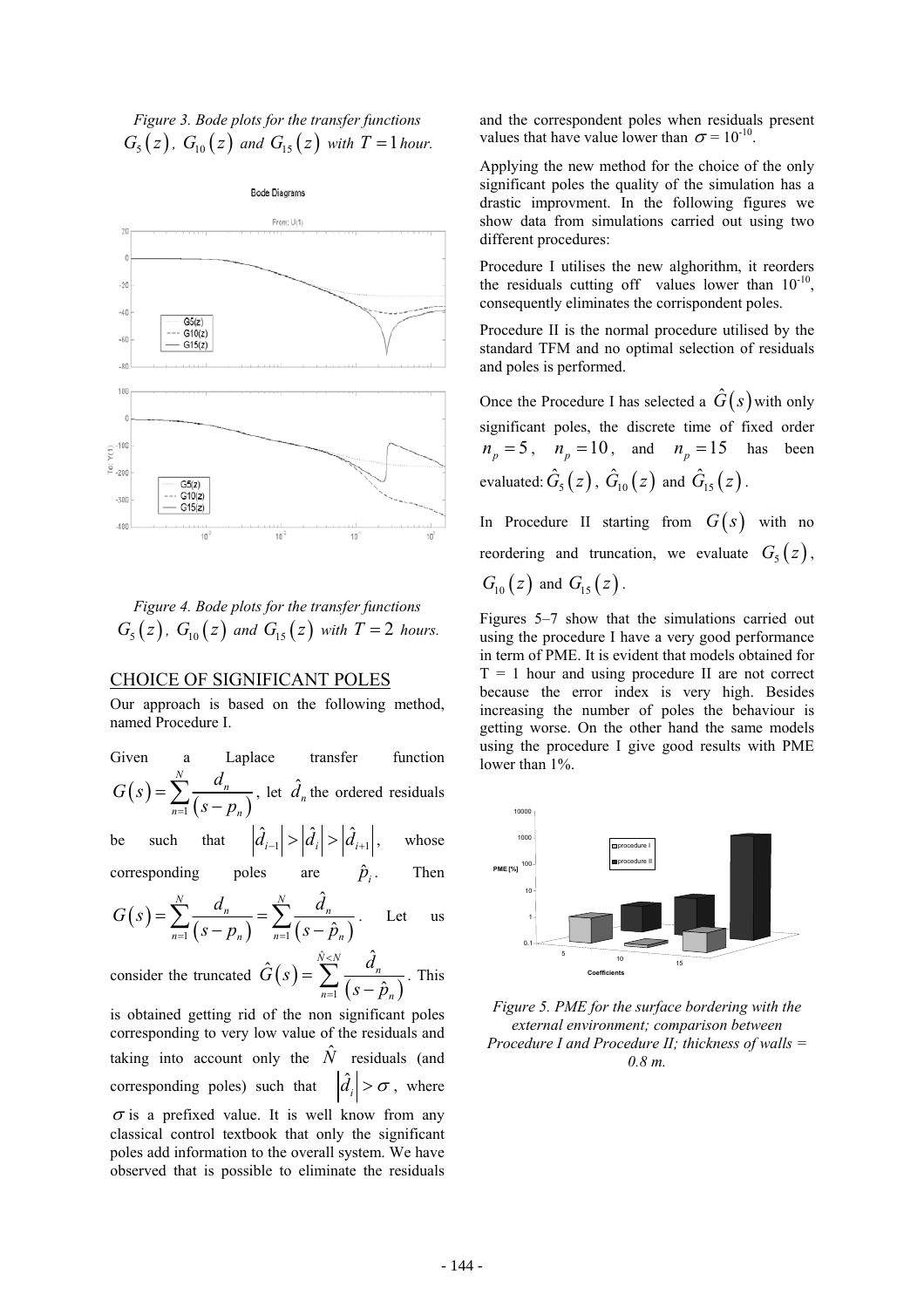*Figure 3. Bode plots for the transfer functions*   $G_5(z)$ ,  $G_{10}(z)$  and  $G_{15}(z)$  with  $T=1$  hour.



*Figure 4. Bode plots for the transfer functions*   $G_5(z)$ ,  $G_{10}(z)$  and  $G_{15}(z)$  with  $T=2$  hours.

#### CHOICE OF SIGNIFICANT POLES

Our approach is based on the following method, named Procedure I.

| Given | $\mathbf{a}$ | Laplace | transfer                                                                              | function |
|-------|--------------|---------|---------------------------------------------------------------------------------------|----------|
|       |              |         | $G(s) = \sum_{n=1}^{N} \frac{d_n}{(s - p_n)}$ , let $\hat{d}_n$ the ordered residuals |          |

be such that  $|\hat{d}_{i-1}| > |\hat{d}_i| > |\hat{d}_{i+1}|$ , whose

corresponding poles are  $\hat{p}_i$ . Then

$$
G(s) = \sum_{n=1}^{N} \frac{d_n}{(s - p_n)} = \sum_{n=1}^{N} \frac{\hat{d}_n}{(s - \hat{p}_n)} \qquad \text{Let} \qquad \text{us}
$$

consider the truncated  $G(s) = \sum_{n=1}^{\infty} \frac{\alpha_n}{(s - \hat{p}_n)}$ ˆ 1  $\hat{\vec{r}}(s) = \sum_{k=1}^{\hat{N} \leq N} \frac{\hat{d}}{s}$  $\hat{p}$  $\sum_{n=1}^{N\lt N} d_n$  $n=1$  ( $\delta - \mu_n$  $\hat{G}(s) = \sum_{k=1}^{N \leq N} \frac{d}{s}$ *s p*  $\prec$  $=\sum_{n=1}^{\infty}\frac{a_n}{(s-\hat{p}_n)}$ . This

is obtained getting rid of the non significant poles corresponding to very low value of the residuals and taking into account only the  $\hat{N}$  residuals (and corresponding poles) such that  $\left|\hat{d}_i\right| > \sigma$ , where  $\sigma$  is a prefixed value. It is well know from any

classical control textbook that only the significant poles add information to the overall system. We have observed that is possible to eliminate the residuals and the correspondent poles when residuals present values that have value lower than  $\sigma = 10^{-10}$ .

Applying the new method for the choice of the only significant poles the quality of the simulation has a drastic improvment. In the following figures we show data from simulations carried out using two different procedures:

Procedure I utilises the new alghorithm, it reorders the residuals cutting off values lower than  $10^{-10}$ , consequently eliminates the corrispondent poles.

Procedure II is the normal procedure utilised by the standard TFM and no optimal selection of residuals and poles is performed.

Once the Procedure I has selected a  $\hat{G}(s)$  with only significant poles, the discrete time of fixed order  $n_p = 5$ ,  $n_p = 10$ , and  $n_p = 15$  has been evaluated:  $\hat{G}_5(z)$ ,  $\hat{G}_{10}(z)$  and  $\hat{G}_{15}(z)$ .

In Procedure II starting from  $G(s)$  with no reordering and truncation, we evaluate  $G<sub>5</sub>(z)$ ,  $G_{10}(z)$  and  $G_{15}(z)$ .

Figures 5–7 show that the simulations carried out using the procedure I have a very good performance in term of PME. It is evident that models obtained for  $T = 1$  hour and using procedure II are not correct because the error index is very high. Besides increasing the number of poles the behaviour is getting worse. On the other hand the same models using the procedure I give good results with PME lower than 1%.



*Figure 5. PME for the surface bordering with the external environment; comparison between Procedure I and Procedure II; thickness of walls = 0.8 m.*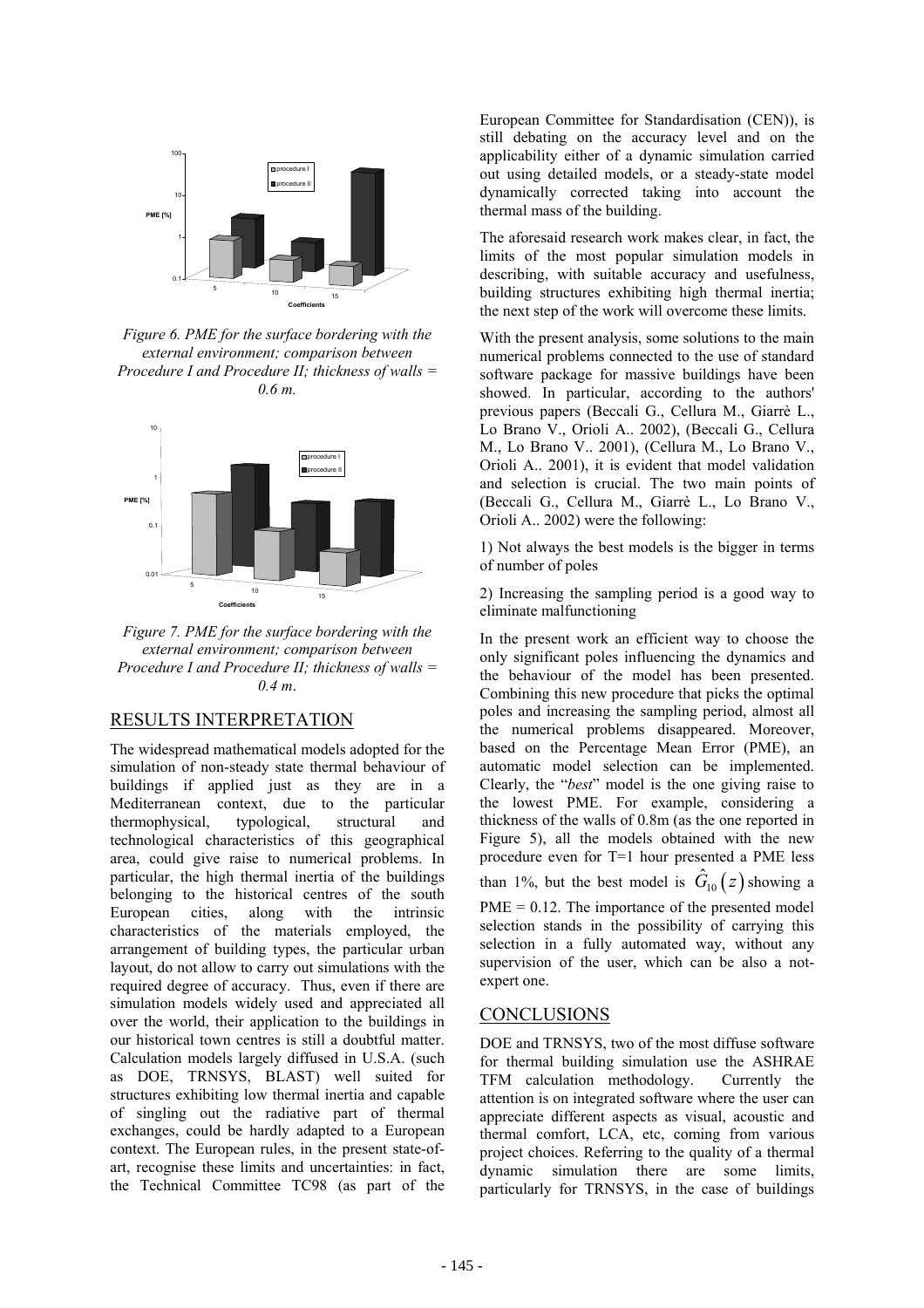

*Figure 6. PME for the surface bordering with the external environment; comparison between Procedure I and Procedure II; thickness of walls = 0.6 m.* 



*Figure 7. PME for the surface bordering with the external environment; comparison between Procedure I and Procedure II; thickness of walls = 0.4 m*.

## RESULTS INTERPRETATION

The widespread mathematical models adopted for the simulation of non-steady state thermal behaviour of buildings if applied just as they are in a Mediterranean context, due to the particular thermophysical, typological, structural and technological characteristics of this geographical area, could give raise to numerical problems. In particular, the high thermal inertia of the buildings belonging to the historical centres of the south<br>European cities, along with the intrinsic European cities, along with the intrinsic characteristics of the materials employed, the arrangement of building types, the particular urban layout, do not allow to carry out simulations with the required degree of accuracy. Thus, even if there are simulation models widely used and appreciated all over the world, their application to the buildings in our historical town centres is still a doubtful matter. Calculation models largely diffused in U.S.A. (such as DOE, TRNSYS, BLAST) well suited for structures exhibiting low thermal inertia and capable of singling out the radiative part of thermal exchanges, could be hardly adapted to a European context. The European rules, in the present state-ofart, recognise these limits and uncertainties: in fact, the Technical Committee TC98 (as part of the

European Committee for Standardisation (CEN)), is still debating on the accuracy level and on the applicability either of a dynamic simulation carried out using detailed models, or a steady-state model dynamically corrected taking into account the thermal mass of the building.

The aforesaid research work makes clear, in fact, the limits of the most popular simulation models in describing, with suitable accuracy and usefulness, building structures exhibiting high thermal inertia; the next step of the work will overcome these limits.

With the present analysis, some solutions to the main numerical problems connected to the use of standard software package for massive buildings have been showed. In particular, according to the authors' previous papers (Beccali G., Cellura M., Giarrè L., Lo Brano V., Orioli A.. 2002), (Beccali G., Cellura M., Lo Brano V.. 2001), (Cellura M., Lo Brano V., Orioli A.. 2001), it is evident that model validation and selection is crucial. The two main points of (Beccali G., Cellura M., Giarrè L., Lo Brano V., Orioli A.. 2002) were the following:

1) Not always the best models is the bigger in terms of number of poles

2) Increasing the sampling period is a good way to eliminate malfunctioning

In the present work an efficient way to choose the only significant poles influencing the dynamics and the behaviour of the model has been presented. Combining this new procedure that picks the optimal poles and increasing the sampling period, almost all the numerical problems disappeared. Moreover, based on the Percentage Mean Error (PME), an automatic model selection can be implemented. Clearly, the "*best*" model is the one giving raise to the lowest PME. For example, considering a thickness of the walls of 0.8m (as the one reported in Figure 5), all the models obtained with the new procedure even for T=1 hour presented a PME less than 1%, but the best model is  $\hat{G}_{10}(z)$  showing a  $PME = 0.12$ . The importance of the presented model selection stands in the possibility of carrying this selection in a fully automated way, without any supervision of the user, which can be also a not-

## **CONCLUSIONS**

expert one.

DOE and TRNSYS, two of the most diffuse software for thermal building simulation use the ASHRAE TFM calculation methodology. Currently the attention is on integrated software where the user can appreciate different aspects as visual, acoustic and thermal comfort, LCA, etc, coming from various project choices. Referring to the quality of a thermal dynamic simulation there are some limits, particularly for TRNSYS, in the case of buildings